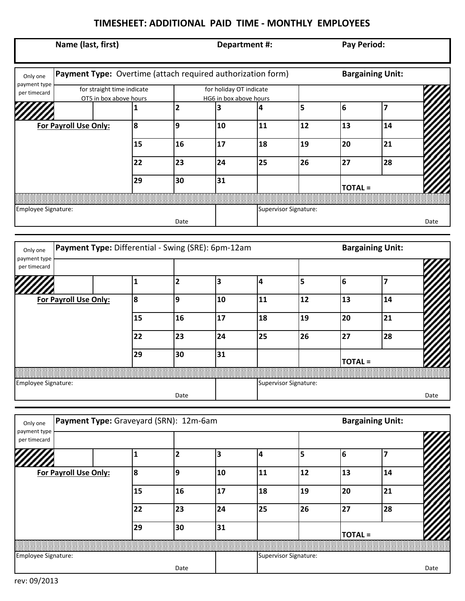## **TIMESHEET: ADDITIONAL PAID TIME - MONTHLY EMPLOYEES**

| Payment Type: Overtime (attach required authorization form)<br><b>Bargaining Unit:</b><br>Only one<br>payment type<br>for straight time indicate<br>for holiday OT indicate<br>per timecard<br>OT5 in box above hours<br>HG6 in box above hours<br>5<br>6<br>$\overline{\mathbf{2}}$<br>7<br>3<br>4<br>1<br>8<br>11<br>12<br>For Payroll Use Only:<br>9<br>10<br>13<br>14<br>17<br>18<br>19<br>20<br>21<br>15<br>16<br>26<br>25<br>27<br>28<br>22<br>23<br>24<br>31<br>29<br>30<br><b>TOTAL =</b><br>Supervisor Signature:<br>Employee Signature:<br>Date<br>Payment Type: Differential - Swing (SRE): 6pm-12am<br><b>Bargaining Unit:</b><br>Only one<br>payment type<br>per timecard<br>5<br>$\overline{2}$<br>3<br>$\overline{\mathbf{4}}$<br>6<br>7<br>$\mathbf{1}$<br>11<br>For Payroll Use Only:<br>8<br>9<br>10<br>12<br>13<br>14<br>15<br>17<br>18<br>19<br>20<br>21<br>16<br>26<br>27<br>28<br>24<br>25<br>22<br>23<br>31<br>29<br>30<br><b>TOTAL =</b><br>Employee Signature:<br>Supervisor Signature:<br>Date<br>Payment Type: Graveyard (SRN): 12m-6am<br><b>Bargaining Unit:</b><br>Only one<br>payment type<br>per timecard | Date |
|-------------------------------------------------------------------------------------------------------------------------------------------------------------------------------------------------------------------------------------------------------------------------------------------------------------------------------------------------------------------------------------------------------------------------------------------------------------------------------------------------------------------------------------------------------------------------------------------------------------------------------------------------------------------------------------------------------------------------------------------------------------------------------------------------------------------------------------------------------------------------------------------------------------------------------------------------------------------------------------------------------------------------------------------------------------------------------------------------------------------------------------------|------|
|                                                                                                                                                                                                                                                                                                                                                                                                                                                                                                                                                                                                                                                                                                                                                                                                                                                                                                                                                                                                                                                                                                                                           |      |
|                                                                                                                                                                                                                                                                                                                                                                                                                                                                                                                                                                                                                                                                                                                                                                                                                                                                                                                                                                                                                                                                                                                                           |      |
|                                                                                                                                                                                                                                                                                                                                                                                                                                                                                                                                                                                                                                                                                                                                                                                                                                                                                                                                                                                                                                                                                                                                           |      |
|                                                                                                                                                                                                                                                                                                                                                                                                                                                                                                                                                                                                                                                                                                                                                                                                                                                                                                                                                                                                                                                                                                                                           |      |
|                                                                                                                                                                                                                                                                                                                                                                                                                                                                                                                                                                                                                                                                                                                                                                                                                                                                                                                                                                                                                                                                                                                                           |      |
|                                                                                                                                                                                                                                                                                                                                                                                                                                                                                                                                                                                                                                                                                                                                                                                                                                                                                                                                                                                                                                                                                                                                           |      |
|                                                                                                                                                                                                                                                                                                                                                                                                                                                                                                                                                                                                                                                                                                                                                                                                                                                                                                                                                                                                                                                                                                                                           |      |
|                                                                                                                                                                                                                                                                                                                                                                                                                                                                                                                                                                                                                                                                                                                                                                                                                                                                                                                                                                                                                                                                                                                                           |      |
|                                                                                                                                                                                                                                                                                                                                                                                                                                                                                                                                                                                                                                                                                                                                                                                                                                                                                                                                                                                                                                                                                                                                           |      |
|                                                                                                                                                                                                                                                                                                                                                                                                                                                                                                                                                                                                                                                                                                                                                                                                                                                                                                                                                                                                                                                                                                                                           |      |
|                                                                                                                                                                                                                                                                                                                                                                                                                                                                                                                                                                                                                                                                                                                                                                                                                                                                                                                                                                                                                                                                                                                                           |      |
|                                                                                                                                                                                                                                                                                                                                                                                                                                                                                                                                                                                                                                                                                                                                                                                                                                                                                                                                                                                                                                                                                                                                           |      |
|                                                                                                                                                                                                                                                                                                                                                                                                                                                                                                                                                                                                                                                                                                                                                                                                                                                                                                                                                                                                                                                                                                                                           |      |
|                                                                                                                                                                                                                                                                                                                                                                                                                                                                                                                                                                                                                                                                                                                                                                                                                                                                                                                                                                                                                                                                                                                                           |      |
|                                                                                                                                                                                                                                                                                                                                                                                                                                                                                                                                                                                                                                                                                                                                                                                                                                                                                                                                                                                                                                                                                                                                           |      |
|                                                                                                                                                                                                                                                                                                                                                                                                                                                                                                                                                                                                                                                                                                                                                                                                                                                                                                                                                                                                                                                                                                                                           |      |
|                                                                                                                                                                                                                                                                                                                                                                                                                                                                                                                                                                                                                                                                                                                                                                                                                                                                                                                                                                                                                                                                                                                                           |      |
|                                                                                                                                                                                                                                                                                                                                                                                                                                                                                                                                                                                                                                                                                                                                                                                                                                                                                                                                                                                                                                                                                                                                           |      |
|                                                                                                                                                                                                                                                                                                                                                                                                                                                                                                                                                                                                                                                                                                                                                                                                                                                                                                                                                                                                                                                                                                                                           | Date |
|                                                                                                                                                                                                                                                                                                                                                                                                                                                                                                                                                                                                                                                                                                                                                                                                                                                                                                                                                                                                                                                                                                                                           |      |
|                                                                                                                                                                                                                                                                                                                                                                                                                                                                                                                                                                                                                                                                                                                                                                                                                                                                                                                                                                                                                                                                                                                                           |      |
|                                                                                                                                                                                                                                                                                                                                                                                                                                                                                                                                                                                                                                                                                                                                                                                                                                                                                                                                                                                                                                                                                                                                           |      |
| $\overline{\mathbf{5}}$<br>$\overline{2}$<br>3<br>$\overline{\mathbf{4}}$<br>6<br>$\mathbf 1$<br>7                                                                                                                                                                                                                                                                                                                                                                                                                                                                                                                                                                                                                                                                                                                                                                                                                                                                                                                                                                                                                                        |      |
| For Payroll Use Only:<br>8<br>9<br>11<br>12<br>13<br>10<br>14                                                                                                                                                                                                                                                                                                                                                                                                                                                                                                                                                                                                                                                                                                                                                                                                                                                                                                                                                                                                                                                                             |      |
| 17<br>18<br>19<br>20<br>21<br>15<br>16                                                                                                                                                                                                                                                                                                                                                                                                                                                                                                                                                                                                                                                                                                                                                                                                                                                                                                                                                                                                                                                                                                    |      |
| 25<br>26<br>27<br>28<br>22<br>23<br>24                                                                                                                                                                                                                                                                                                                                                                                                                                                                                                                                                                                                                                                                                                                                                                                                                                                                                                                                                                                                                                                                                                    |      |
| 29<br>31<br>30<br><b>TOTAL =</b>                                                                                                                                                                                                                                                                                                                                                                                                                                                                                                                                                                                                                                                                                                                                                                                                                                                                                                                                                                                                                                                                                                          |      |
|                                                                                                                                                                                                                                                                                                                                                                                                                                                                                                                                                                                                                                                                                                                                                                                                                                                                                                                                                                                                                                                                                                                                           |      |
| Employee Signature:<br>Supervisor Signature:<br>Date                                                                                                                                                                                                                                                                                                                                                                                                                                                                                                                                                                                                                                                                                                                                                                                                                                                                                                                                                                                                                                                                                      |      |